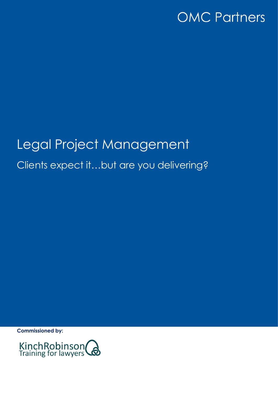# Legal Project Management Clients expect it…but are you delivering?

**Commissioned by:**

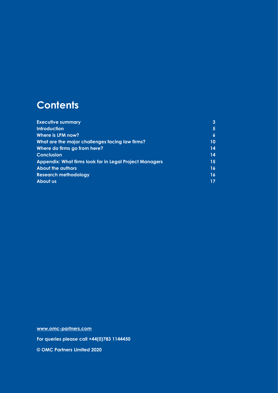# **Contents**

| <b>Executive summary</b>                                       | 3                |
|----------------------------------------------------------------|------------------|
| <b>Introduction</b>                                            | 5                |
| Where is LPM now?                                              | $\boldsymbol{6}$ |
| What are the major challenges facing law firms?                | 10               |
| Where do firms go from here?                                   | 14               |
| <b>Conclusion</b>                                              | 14               |
| <b>Appendix: What firms look for in Legal Project Managers</b> | 15.              |
| <b>About the authors</b>                                       | 16               |
| <b>Research methodology</b>                                    | 16               |
| About us                                                       |                  |

**[www.omc-partners.com](http://www.omc-partners.com/) For queries please call +44(0)783 1144450 © OMC Partners Limited 2020**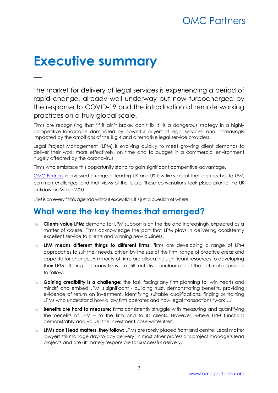# **Executive summary**

—

The market for delivery of legal services is experiencing a period of rapid change, already well underway but now turbocharged by the response to COVID-19 and the introduction of remote working practices on a truly global scale.

Firms are recognising that 'if it ain't broke, don't fix it' is a dangerous strategy in a highly competitive landscape dominated by powerful buyers of legal services, and increasingly impacted by the ambitions of the Big 4 and alternative legal service providers.

Legal Project Management (LPM) is evolving quickly to meet growing client demands to deliver their work more effectively, on time and to budget in a commercial environment hugely affected by the coronavirus.

Firms who embrace this opportunity stand to gain significant competitive advantage.

[OMC Partners](http://www.omc-partners.com/) interviewed a range of leading UK and US law firms about their approaches to LPM, common challenges, and their views of the future. These conversations took place prior to the UK lockdown in March 2020.

LPM is on every firm's agenda without exception, it's just a question of where.

### **What were the key themes that emerged?**

- o **Clients value LPM:** demand for LPM support is on the rise and increasingly expected as a matter of course. Firms acknowledge the part that LPM plays in delivering consistently excellent service to clients and winning new business.
- o **LPM means different things to different firms:** firms are developing a range of LPM approaches to suit their needs, driven by the size of the firm, range of practice areas and appetite for change. A minority of firms are allocating significant resources to developing their LPM offering but many firms are still tentative, unclear about the optimal approach to follow.
- o **Gaining credibility is a challenge:** the task facing any firm planning to 'win hearts and minds' and embed LPM is significant - building trust, demonstrating benefits, providing evidence of return on investment, identifying suitable qualifications, finding or training LPMs who understand how a law firm operates and how legal transactions 'work'…
- o **Benefits are hard to measure:** firms consistently struggle with measuring and quantifying the benefits of LPM – to the firm and to its clients. However, where LPM functions demonstrably add value, the investment case writes itself.
- o **LPMs don't lead matters, they follow:** LPMs are rarely placed front and centre. Lead matter lawyers still manage day-to-day delivery. In most other professions project managers lead projects and are ultimately responsible for successful delivery.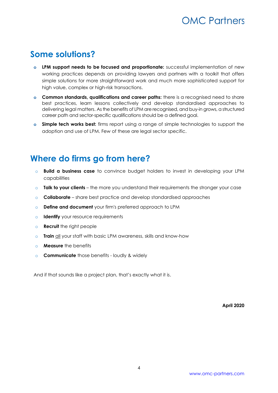### **Some solutions?**

- **o LPM support needs to be focused and proportionate:** successful implementation of new working practices depends on providing lawyers and partners with a toolkit that offers simple solutions for more straightforward work and much more sophisticated support for high value, complex or high-risk transactions.
- **o Common standards, qualifications and career paths:** there is a recognised need to share best practices, learn lessons collectively and develop standardised approaches to delivering legal matters. As the benefits of LPM are recognised, and buy-in grows, a structured career path and sector-specific qualifications should be a defined goal.
- **o Simple tech works best:** firms report using a range of simple technologies to support the adoption and use of LPM. Few of these are legal sector specific.

### **Where do firms go from here?**

- o **Build a business case** to convince budget holders to invest in developing your LPM capabilities
- o **Talk to your clients** the more you understand their requirements the stronger your case
- o **Collaborate**  share best practice and develop standardised approaches
- o **Define and document** your firm's preferred approach to LPM
- o **Identify** your resource requirements
- o **Recruit** the right people
- o **Train** all your staff with basic LPM awareness, skills and know-how
- o **Measure** the benefits
- o **Communicate** those benefits loudly & widely

And if that sounds like a project plan, that's exactly what it is.

**April 2020**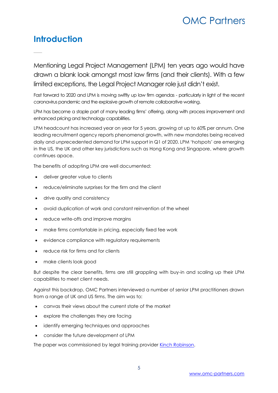### **Introduction**

—

Mentioning Legal Project Management (LPM) ten years ago would have drawn a blank look amongst most law firms (and their clients). With a few limited exceptions, the Legal Project Manager role just didn't exist.

Fast forward to 2020 and LPM is moving swiftly up law firm agendas - particularly in light of the recent coronavirus pandemic and the explosive growth of remote collaborative working.

LPM has become a staple part of many leading firms' offering, along with process improvement and enhanced pricing and technology capabilities.

LPM headcount has increased year on year for 5 years, growing at up to 60% per annum. One leading recruitment agency reports phenomenal growth, with new mandates being received daily and unprecedented demand for LPM support in Q1 of 2020. LPM 'hotspots' are emerging in the US, the UK and other key jurisdictions such as Hong Kong and Singapore, where growth continues apace.

The benefits of adopting LPM are well documented:

- deliver greater value to clients
- reduce/eliminate surprises for the firm and the client
- drive quality and consistency
- avoid duplication of work and constant reinvention of the wheel
- reduce write-offs and improve margins
- make firms comfortable in pricing, especially fixed fee work
- evidence compliance with regulatory requirements
- reduce risk for firms and for clients
- make clients look good

But despite the clear benefits, firms are still grappling with buy-in and scaling up their LPM capabilities to meet client needs.

Against this backdrop, OMC Partners interviewed a number of senior LPM practitioners drawn from a range of UK and US firms. The aim was to:

- canvas their views about the current state of the market
- explore the challenges they are facing
- identify emerging techniques and approaches
- consider the future development of LPM

The paper was commissioned by legal training provider [Kinch Robinson.](http://www.kinchrobinson.com/)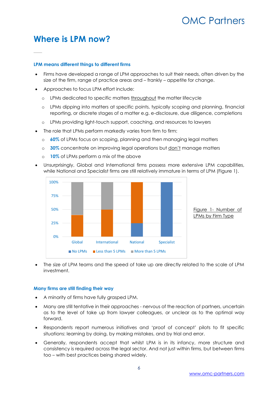### **Where is LPM now?**

—

#### **LPM means different things to different firms**

- Firms have developed a range of LPM approaches to suit their needs, often driven by the size of the firm, range of practice areas and – frankly – appetite for change.
- Approaches to focus LPM effort include:
	- o LPMs dedicated to specific matters throughout the matter lifecycle
	- o LPMs dipping into matters at specific points, typically scoping and planning, financial reporting, or discrete stages of a matter e.g. e-disclosure, due diligence, completions
	- o LPMs providing light-touch support, coaching, and resources to lawyers
- The role that LPMs perform markedly varies from firm to firm:
	- o **60%** of LPMs focus on scoping, planning and then managing legal matters
	- o **30%** concentrate on improving legal operations but don't manage matters
	- o **10%** of LPMs perform a mix of the above
- Unsurprisingly, Global and International firms possess more extensive LPM capabilities, while National and Specialist firms are still relatively immature in terms of LPM (Figure 1).



• The size of LPM teams and the speed of take up are directly related to the scale of LPM investment.

#### **Many firms are still finding their way**

- A minority of firms have fully grasped LPM.
- Many are still tentative in their approaches nervous of the reaction of partners, uncertain as to the level of take up from lawyer colleagues, or unclear as to the optimal way forward.
- Respondents report numerous initiatives and 'proof of concept' pilots to fit specific situations: learning by doing, by making mistakes, and by trial and error.
- Generally, respondents accept that whilst LPM is in its infancy, more structure and consistency is required across the legal sector. And not just within firms, but between firms too – with best practices being shared widely.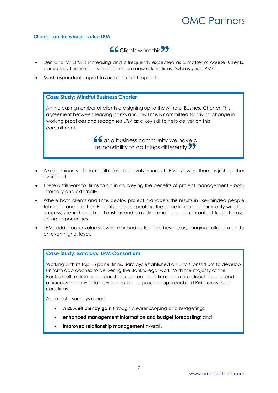#### **Clients - on the whole - value LPM**



- Demand for LPM is increasing and is frequently expected as a matter of course. Clients, particularly financial services clients, are now asking firms, 'who is your LPM?'.
- Most respondents report favourable client support.

#### **Case Study: Mindful Business Charter**

An increasing number of clients are signing up to the Mindful Business Charter. This agreement between leading banks and law firms is committed to driving change in working practices and recognises LPM as a key skill to help deliver on this commitment.

> $66$  as a business community we have a responsibility to do things differently 77

- A small minority of clients still refuse the involvement of LPMs, viewing them as just another overhead.
- There is still work for firms to do in conveying the benefits of project management both internally and externally.
- Where both clients and firms deploy project managers this results in like-minded people talking to one another. Benefits include speaking the same language, familiarity with the process, strengthened relationships and providing another point of contact to spot crossselling opportunities.
- LPMs add greater value still when seconded to client businesses, bringing collaboration to an even higher level.

#### **Case Study: Barclays' LPM Consortium**

Working with its top 15 panel firms, Barclays established an LPM Consortium to develop uniform approaches to delivering the Bank's legal work. With the majority of the Bank's multi-million legal spend focused on these firms there are clear financial and efficiency incentives to developing a best practice approach to LPM across these core firms.

As a result, Barclays report:

- a **25% efficiency gain** through clearer scoping and budgeting;
- **enhanced management information and budget forecasting;** and
- **improved relationship management** overall.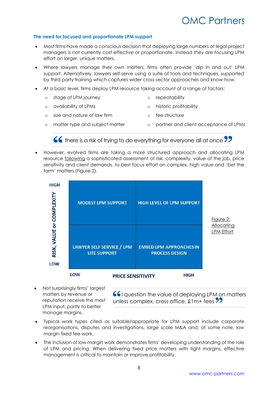#### **The need for focused and proportionate LPM support**

- Most firms have made a conscious decision that deploying large numbers of legal project managers is not currently cost effective or proportionate. Instead they are focusing LPM effort on larger, unique matters.
- Where lawyers manage their own matters, firms often provide 'dip in and out' LPM support. Alternatively, lawyers self-serve using a suite of tools and techniques, supported by third party training which captures wider cross-sector approaches and know-how.
- At a basic level, firms deploy LPM resource taking account of a range of factors:
	- o stage of LPM journey o repeatability
	- o availability of LPMs o historic profitability
	- o size and nature of law firm o fee structure
	- o matter type and subject matter o partner and client acceptance of LPMs

 $\overline{\bullet}\overline{\bullet}$  there is a risk of trying to do everything for everyone all at once  $\overline{\bullet}\overline{\bullet}$ 

• However, evolved firms are taking a more structured approach and allocating LPM resource following a sophisticated assessment of risk, complexity, value of the job, price sensitivity and client demands, to best focus effort on complex, high value and 'bet the farm' matters (Figure 2).



• Not surprisingly firms' largest matters by revenue or reputation receive the most LPM input, partly to better manage margins.

66I question the value of deploying LPM on matters unless complex, cross office,  $\pounds$ 1m+ fees $\pmb{?}$ 

- Typical work types cited as suitable/appropriate for LPM support include corporate reorganisations, disputes and investigations, large scale M&A and, of some note, low margin fixed fee work.
- The inclusion of low margin work demonstrates firms' developing understanding of the role of LPM and pricing. When delivering fixed price matters with tight margins, effective management is critical to maintain or improve profitability.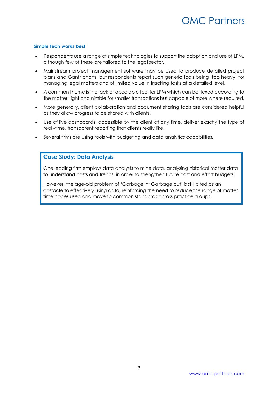#### **Simple tech works best**

- Respondents use a range of simple technologies to support the adoption and use of LPM, although few of these are tailored to the legal sector.
- Mainstream project management software may be used to produce detailed project plans and Gantt charts, but respondents report such generic tools being 'too heavy' for managing legal matters and of limited value in tracking tasks at a detailed level.
- A common theme is the lack of a scalable tool for LPM which can be flexed according to the matter; light and nimble for smaller transactions but capable of more where required.
- More generally, client collaboration and document sharing tools are considered helpful as they allow progress to be shared with clients.
- Use of live dashboards, accessible by the client at any time, deliver exactly the type of real -time, transparent reporting that clients really like.
- Several firms are using tools with budgeting and data analytics capabilities.

#### **Case Study: Data Analysis**

One leading firm employs data analysts to mine data, analysing historical matter data to understand costs and trends, in order to strengthen future cost and effort budgets.

However, the age-old problem of 'Garbage in; Garbage out' is still cited as an obstacle to effectively using data, reinforcing the need to reduce the range of matter time codes used and move to common standards across practice groups.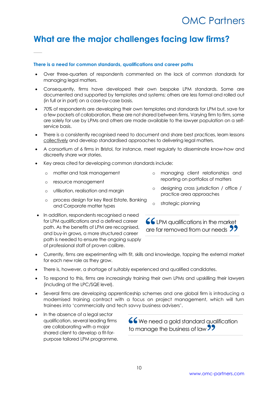## **What are the major challenges facing law firms?**

#### **There is a need for common standards, qualifications and career paths**

- Over three-quarters of respondents commented on the lack of common standards for managing legal matters.
- Consequently, firms have developed their own bespoke LPM standards. Some are documented and supported by templates and systems; others are less formal and rolled out (in full or in part) on a case-by-case basis.
- 70% of respondents are developing their own templates and standards for LPM but, save for a few pockets of collaboration, these are not shared between firms. Varying firm to firm, some are solely for use by LPMs and others are made available to the lawyer population on a selfservice basis.
- There is a consistently recognised need to document and share best practices, learn lessons collectively and develop standardised approaches to delivering legal matters.
- A consortium of 6 firms in Bristol, for instance, meet regularly to disseminate know-how and discreetly share war stories.
- Key areas cited for developing common standards include:
	- o matter and task management
	- o resource management

—

- o utilisation, realisation and margin
- o process design for key Real Estate, Banking and Corporate matter types
- In addition, respondents recognised a need for LPM qualifications and a defined career path. As the benefits of LPM are recognised, and buy-in grows, a more structured career path is needed to ensure the ongoing supply of professional staff of proven calibre.
- o managing client relationships and reporting on portfolios of matters
- o designing cross jurisdiction / office / practice area approaches
- o strategic planning

LPM qualifications in the market are far removed from our needs **99** 

- Currently, firms are experimenting with fit, skills and knowledge, tapping the external market for each new role as they grow.
- There is, however, a shortage of suitably experienced and qualified candidates.
- To respond to this, firms are increasingly training their own LPMs and upskilling their lawyers (including at the LPC/SQE level).
- Several firms are developing apprenticeship schemes and one global firm is introducing a modernised training contract with a focus on project management, which will turn trainees into 'commercially and tech savvy business advisers'.
- In the absence of a legal sector qualification, several leading firms are collaborating with a major shared client to develop a fit-forpurpose tailored LPM programme.

66 We need a gold standard qualification to manage the business of law **39**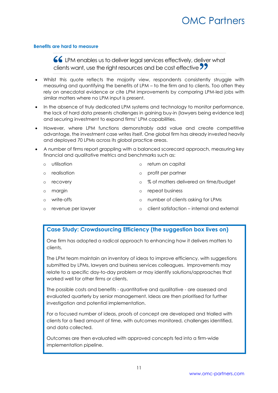#### **Benefits are hard to measure**

LPM enables us to deliver legal services effectively, deliver what clients want, use the right resources and be cost effective 77

- Whilst this quote reflects the majority view, respondents consistently struggle with measuring and quantifying the benefits of LPM – to the firm and to clients. Too often they rely on anecdotal evidence or cite LPM improvements by comparing LPM-led jobs with similar matters where no LPM input is present.
- In the absence of truly dedicated LPM systems and technology to monitor performance, the lack of hard data presents challenges in gaining buy-in (lawyers being evidence led) and securing investment to expand firms' LPM capabilities.
- However, where LPM functions demonstrably add value and create competitive advantage, the investment case writes itself. One global firm has already invested heavily and deployed 70 LPMs across its global practice areas.
- A number of firms report grappling with a balanced scorecard approach, measuring key financial and qualitative metrics and benchmarks such as:
	- o utilisation o return on capital
	- o realisation
	- o recovery
	- o margin

o write-offs

o repeat business

o profit per partner

o number of clients asking for LPMs

o % of matters delivered on time/budget

o revenue per lawyer o client satisfaction – internal and external

#### **Case Study: Crowdsourcing Efficiency (the suggestion box lives on)**

One firm has adopted a radical approach to enhancing how it delivers matters to clients.

The LPM team maintain an inventory of ideas to improve efficiency, with suggestions submitted by LPMs, lawyers and business services colleagues. Improvements may relate to a specific day-to-day problem or may identify solutions/approaches that worked well for other firms or clients.

The possible costs and benefits - quantitative and qualitative - are assessed and evaluated quarterly by senior management. Ideas are then prioritised for further investigation and potential implementation.

For a focused number of ideas, proofs of concept are developed and trialled with clients for a fixed amount of time, with outcomes monitored, challenges identified, and data collected.

Outcomes are then evaluated with approved concepts fed into a firm-wide implementation pipeline.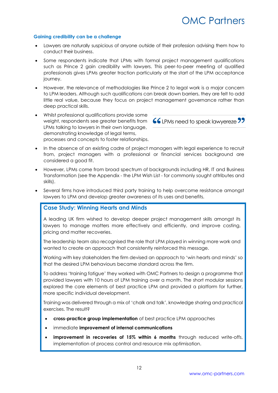#### **Gaining credibility can be a challenge**

- Lawyers are naturally suspicious of anyone outside of their profession advising them how to conduct their business.
- Some respondents indicate that LPMs with formal project management qualifications such as Prince 2 gain credibility with lawyers. This peer-to-peer meeting of qualified professionals gives LPMs greater traction particularly at the start of the LPM acceptance journey.
- However, the relevance of methodologies like Prince 2 to legal work is a major concern to LPM leaders. Although such qualifications can break down barriers, they are felt to add little real value, because they focus on project management governance rather than deep practical skills.
- Whilst professional qualifications provide some weight, respondents see greater benefits from **66** LPMs need to speak lawyereze LPMs talking to lawyers in their own language, demonstrating knowledge of legal terms, processes and concepts to foster relationships.



- In the absence of an existing cadre of project managers with legal experience to recruit from, project managers with a professional or financial services background are considered a good fit.
- However, LPMs come from broad spectrum of backgrounds including HR, IT and Business Transformation (see the Appendix - the LPM Wish List - for commonly sought attributes and skills).
- Several firms have introduced third party training to help overcome resistance amongst lawyers to LPM and develop greater awareness of its uses and benefits.

#### **Case Study: Winning Hearts and Minds**

A leading UK firm wished to develop deeper project management skills amongst its lawyers to manage matters more effectively and efficiently, and improve costing, pricing and matter recoveries.

The leadership team also recognised the role that LPM played in winning more work and wanted to create an approach that consistently reinforced this message.

Working with key stakeholders the firm devised an approach to 'win hearts and minds' so that the desired LPM behaviours became standard across the firm.

To address 'training fatigue' they worked with OMC Partners to design a programme that provided lawyers with 10 hours of LPM training over a month. The short modular sessions explored the core elements of best practice LPM and provided a platform for further, more specific individual development.

Training was delivered through a mix of 'chalk and talk', knowledge sharing and practical exercises. The result?

- **cross-practice group implementation** of best practice LPM approaches
- immediate **improvement of internal communications**
- **improvement in recoveries of 15% within 6 months** through reduced write-offs, implementation of process control and resource mix optimisation.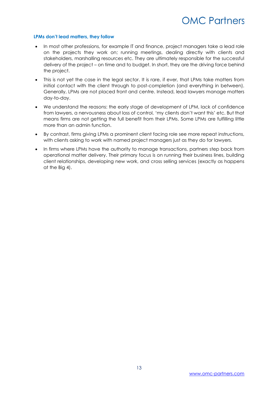#### **LPMs don't lead matters, they follow**

- In most other professions, for example IT and finance, project managers take a lead role on the projects they work on; running meetings, dealing directly with clients and stakeholders, marshalling resources etc. They are ultimately responsible for the successful delivery of the project – on time and to budget. In short, they are the driving force behind the project.
- This is not yet the case in the legal sector. It is rare, if ever, that LPMs take matters from initial contact with the client through to post-completion (and everything in between). Generally, LPMs are not placed front and centre. Instead, lead lawyers manage matters day-to-day.
- We understand the reasons: the early stage of development of LPM, lack of confidence from lawyers, a nervousness about loss of control, 'my clients don't want this' etc. But that means firms are not getting the full benefit from their LPMs. Some LPMs are fulfilling little more than an admin function.
- By contrast, firms giving LPMs a prominent client facing role see more repeat instructions, with clients asking to work with named project managers just as they do for lawyers.
- In firms where LPMs have the authority to manage transactions, partners step back from operational matter delivery. Their primary focus is on running their business lines, building client relationships, developing new work, and cross selling services (exactly as happens at the Big 4).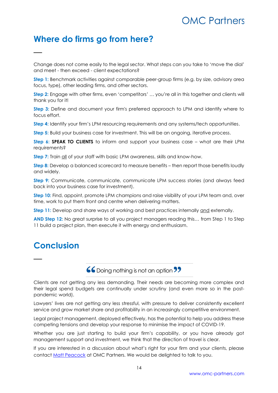### **Where do firms go from here?**

Change does not come easily to the legal sector. What steps can you take to 'move the dial' and meet - then exceed - client expectations?

**Step 1:** Benchmark activities against comparable peer-group firms (e.g. by size, advisory area focus, type), other leading firms, and other sectors.

**Step 2:** Engage with other firms, even 'competitors' … you're all in this together and clients will thank you for it!

**Step 3:** Define and document your firm's preferred approach to LPM and identify where to focus effort.

**Step 4:** Identify your firm's LPM resourcing requirements and any systems/tech opportunities.

**Step 5:** Build your business case for investment. This will be an ongoing, iterative process.

**Step 6: SPEAK TO CLIENTS** to inform and support your business case – what are their LPM requirements?

**Step 7:** Train all of your staff with basic LPM awareness, skills and know-how.

**Step 8:** Develop a balanced scorecard to measure benefits – then report those benefits loudly and widely.

**Step 9:** Communicate, communicate, communicate LPM success stories (and always feed back into your business case for investment).

**Step 10:** Find, appoint, promote LPM champions and raise visibility of your LPM team and, over time, work to put them front and centre when delivering matters.

**Step 11:** Develop and share ways of working and best practices internally and externally.

**AND Step 12:** No great surprise to all you project managers reading this… from Step 1 to Step 11 build a project plan, then execute it with energy and enthusiasm.

## **Conclusion**

—

—

66 Doing nothing is not an option 99

Clients are not getting any less demanding. Their needs are becoming more complex and their legal spend budgets are continually under scrutiny (and even more so in the postpandemic world).

Lawyers' lives are not getting any less stressful, with pressure to deliver consistently excellent service and grow market share and profitability in an increasingly competitive environment.

Legal project management, deployed effectively, has the potential to help you address these competing tensions and develop your response to minimise the impact of COVID-19.

Whether you are just starting to build your firm's capability, or you have already got management support and investment, we think that the direction of travel is clear.

If you are interested in a discussion about what's right for your firm and your clients, please contact [Matt Peacock](mailto:matt.peacock@omc-partners.com) at OMC Partners. We would be delighted to talk to you.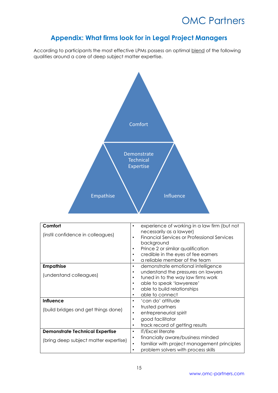### **Appendix: What firms look for in Legal Project Managers**

According to participants the most effective LPMs possess an optimal blend of the following qualities around a core of deep subject matter expertise.



| Comfort<br>(instil confidence in colleagues) | experience of working in a law firm (but not<br>٠<br>necessarily as a lawyer)<br><b>Financial Services or Professional Services</b><br>$\bullet$<br>background<br>Prince 2 or similar qualification<br>٠<br>credible in the eyes of fee earners<br>٠<br>a reliable member of the team<br>٠ |
|----------------------------------------------|--------------------------------------------------------------------------------------------------------------------------------------------------------------------------------------------------------------------------------------------------------------------------------------------|
| <b>Empathise</b>                             | demonstrate emotional intelligence<br>٠                                                                                                                                                                                                                                                    |
| (understand colleagues)                      | understand the pressures on lawyers<br>٠<br>tuned in to the way law firms work<br>$\bullet$                                                                                                                                                                                                |
|                                              | able to speak 'lawyereze'<br>٠                                                                                                                                                                                                                                                             |
|                                              | able to build relationships<br>٠                                                                                                                                                                                                                                                           |
|                                              | able to connect<br>٠                                                                                                                                                                                                                                                                       |
| <b>Influence</b>                             | 'can do' attitude<br>٠                                                                                                                                                                                                                                                                     |
| (build bridges and get things done)          | trusted partners<br>٠                                                                                                                                                                                                                                                                      |
|                                              | entrepreneurial spirit<br>٠                                                                                                                                                                                                                                                                |
|                                              | good facilitator<br>٠                                                                                                                                                                                                                                                                      |
|                                              | track record of getting results<br>٠                                                                                                                                                                                                                                                       |
| <b>Demonstrate Technical Expertise</b>       | <b>IT/Excel literate</b><br>$\bullet$                                                                                                                                                                                                                                                      |
| (bring deep subject matter expertise)        | financially aware/business minded<br>$\bullet$                                                                                                                                                                                                                                             |
|                                              | familiar with project management principles<br>$\bullet$                                                                                                                                                                                                                                   |
|                                              | problem solvers with process skills<br>$\bullet$                                                                                                                                                                                                                                           |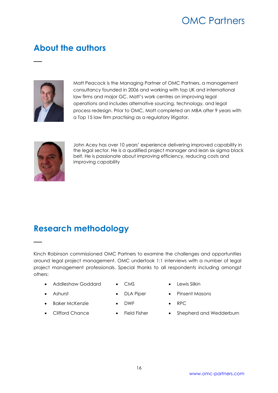## **About the authors**



—

Matt Peacock is the Managing Partner of OMC Partners, a management consultancy founded in 2006 and working with top UK and international law firms and major GC. Matt's work centres on improving legal operations and includes alternative sourcing, technology, and legal process redesign. Prior to OMC, Matt completed an MBA after 9 years with a Top 15 law firm practising as a regulatory litigator.



—

John Acey has over 10 years' experience delivering improved capability in the legal sector. He is a qualified project manager and lean six sigma black belt. He is passionate about improving efficiency, reducing costs and improving capability

### **Research methodology**

Kinch Robinson commissioned OMC Partners to examine the challenges and opportunities around legal project management. OMC undertook 1:1 interviews with a number of legal project management professionals. Special thanks to all respondents including amongst others:

- Addleshaw Goddard
- CMS

• DWF

• Ashurst

- 
- 
- DLA Piper
- Lewis Silkin

• RPC

• Pinsent Masons

• Baker McKenzie

• Clifford Chance

- Field Fisher
- Shepherd and Wedderburn

[www.omc-partners.com](http://www.omc-partners.com/)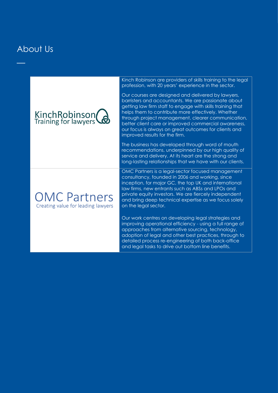### About Us

—



### **OMC Partners** Creating value for leading lawyers

Kinch Robinson are providers of skills training to the legal profession, with 20 years' experience in the sector.

Our courses are designed and delivered by lawyers, barristers and accountants. We are passionate about getting law firm staff to engage with skills training that helps them to contribute more effectively. Whether through project management, clearer communication, better client care or improved commercial awareness, our focus is always on great outcomes for clients and improved results for the firm.

The business has developed through word of mouth recommendations, underpinned by our high quality of service and delivery. At its heart are the strong and long-lasting relationships that we have with our clients.

OMC Partners is a legal-sector focused management consultancy, founded in 2006 and working, since inception, for major GC, the top UK and international law firms, new entrants such as ABSs and LPOs and private equity investors. We are fiercely independent and bring deep technical expertise as we focus solely on the legal sector.

Our work centres on developing legal strategies and improving operational efficiency - using a full range of approaches from alternative sourcing, technology, adoption of legal and other best practices, through to detailed process re-engineering of both back-office and legal tasks to drive out bottom line benefits.